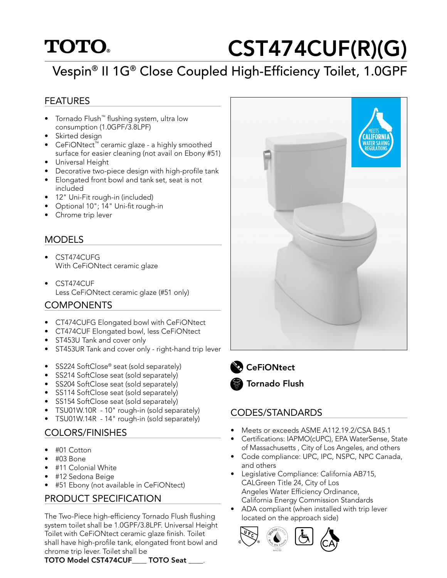## **TOTO**

# CST474CUF(R)(G)

## Vespin® II 1G® Close Coupled High-Efficiency Toilet, 1.0GPF

#### FEATURES

- Tornado Flush™ flushing system, ultra low consumption (1.0GPF/3.8LPF)
- Skirted design
- CeFiONtect™ ceramic glaze a highly smoothed surface for easier cleaning (not avail on Ebony #51)
- Universal Height
- Decorative two-piece design with high-profile tank
- Elongated front bowl and tank set, seat is not included
- 12" Uni-Fit rough-in (included)
- Optional 10"; 14" Uni-fit rough-in
- Chrome trip lever

#### MODELS

- CST474CUFG With CeFiONtect ceramic glaze
- CST474CUF Less CeFiONtect ceramic glaze (#51 only)

#### **COMPONENTS**

- CT474CUFG Elongated bowl with CeFiONtect
- CT474CUF Elongated bowl, less CeFiONtect
- ST453U Tank and cover only
- ST453UR Tank and cover only right-hand trip lever
- SS224 SoftClose<sup>®</sup> seat (sold separately)
- SS214 SoftClose seat (sold separately)
- SS204 SoftClose seat (sold separately)
- SS114 SoftClose seat (sold separately)
- SS154 SoftClose seat (sold separately)
- TSU01W.10R 10" rough-in (sold separately)
- TSU01W.14R 14" rough-in (sold separately)

#### COLORS/FINISHES

- #01 Cotton
- #03 Bone
- #11 Colonial White
- #12 Sedona Beige
- #51 Ebony (not available in CeFiONtect)

#### PRODUCT SPECIFICATION

The Two-Piece high-efficiency Tornado Flush flushing system toilet shall be 1.0GPF/3.8LPF. Universal Height Toilet with CeFiONtect ceramic glaze finish. Toilet shall have high-profile tank, elongated front bowl and chrome trip lever. Toilet shall be







**CeFiONtect** Tornado Flush

#### CODES/STANDARDS

- Meets or exceeds ASME A112.19.2/CSA B45.1
- Certifications: IAPMO(cUPC), EPA WaterSense, State of Massachusetts , City of Los Angeles, and others
- Code compliance: UPC, IPC, NSPC, NPC Canada, and others
- Legislative Compliance: California AB715, CALGreen Title 24, City of Los Angeles Water Efficiency Ordinance, California Energy Commission Standards
- ADA compliant (when installed with trip lever located on the approach side)